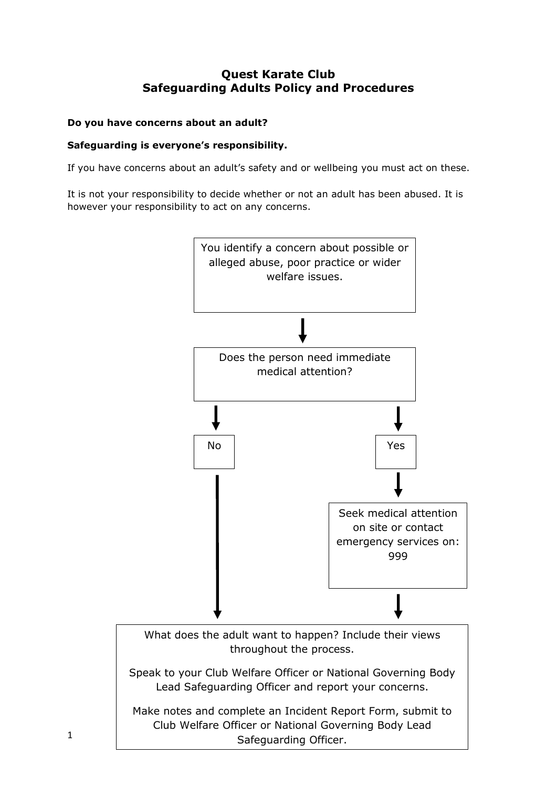# **Quest Karate Club Safeguarding Adults Policy and Procedures**

# **Do you have concerns about an adult?**

### **Safeguarding is everyone's responsibility.**

If you have concerns about an adult's safety and or wellbeing you must act on these.

It is not your responsibility to decide whether or not an adult has been abused. It is however your responsibility to act on any concerns.

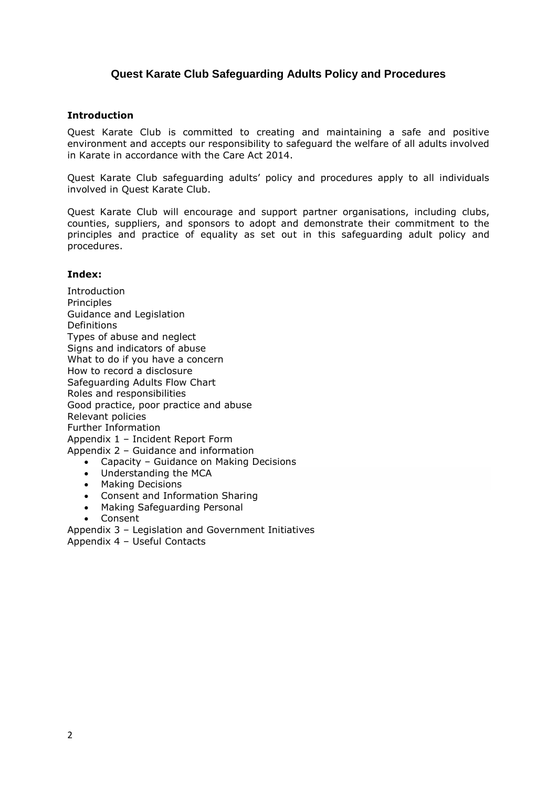# **Quest Karate Club Safeguarding Adults Policy and Procedures**

#### **Introduction**

Quest Karate Club is committed to creating and maintaining a safe and positive environment and accepts our responsibility to safeguard the welfare of all adults involved in Karate in accordance with the Care Act 2014.

Quest Karate Club safeguarding adults' policy and procedures apply to all individuals involved in Quest Karate Club.

Quest Karate Club will encourage and support partner organisations, including clubs, counties, suppliers, and sponsors to adopt and demonstrate their commitment to the principles and practice of equality as set out in this safeguarding adult policy and procedures.

### **Index:**

Introduction **Principles** Guidance and Legislation Definitions Types of abuse and neglect Signs and indicators of abuse What to do if you have a concern How to record a disclosure Safeguarding Adults Flow Chart Roles and responsibilities Good practice, poor practice and abuse Relevant policies Further Information Appendix 1 – Incident Report Form Appendix 2 – Guidance and information • Capacity – Guidance on Making Decisions

- Understanding the MCA
- Making Decisions
- Consent and Information Sharing
- Making Safeguarding Personal
- Consent

Appendix 3 – Legislation and Government Initiatives Appendix 4 – Useful Contacts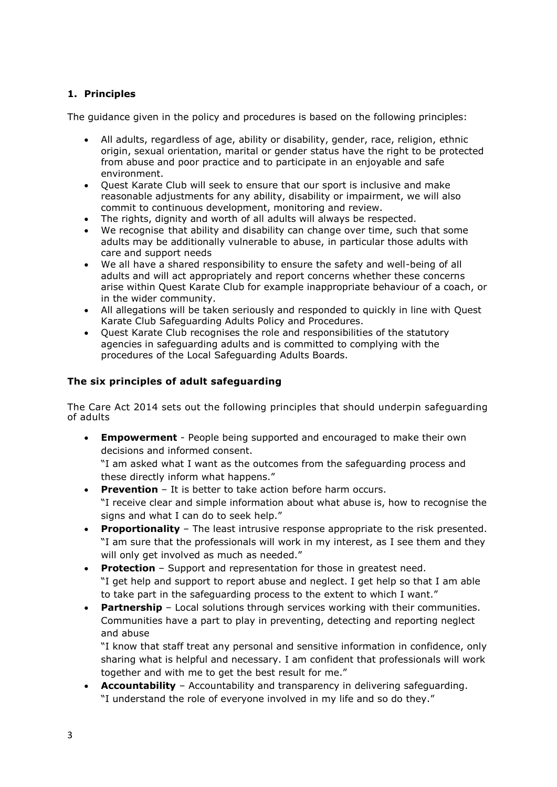# **1. Principles**

The guidance given in the policy and procedures is based on the following principles:

- All adults, regardless of age, ability or disability, gender, race, religion, ethnic origin, sexual orientation, marital or gender status have the right to be protected from abuse and poor practice and to participate in an enjoyable and safe environment.
- Quest Karate Club will seek to ensure that our sport is inclusive and make reasonable adjustments for any ability, disability or impairment, we will also commit to continuous development, monitoring and review.
- The rights, dignity and worth of all adults will always be respected.
- We recognise that ability and disability can change over time, such that some adults may be additionally vulnerable to abuse, in particular those adults with care and support needs
- We all have a shared responsibility to ensure the safety and well-being of all adults and will act appropriately and report concerns whether these concerns arise within Quest Karate Club for example inappropriate behaviour of a coach, or in the wider community.
- All allegations will be taken seriously and responded to quickly in line with Quest Karate Club Safeguarding Adults Policy and Procedures.
- Quest Karate Club recognises the role and responsibilities of the statutory agencies in safeguarding adults and is committed to complying with the procedures of the Local Safeguarding Adults Boards.

# **The six principles of adult safeguarding**

The Care Act 2014 sets out the following principles that should underpin safeguarding of adults

• **Empowerment** - People being supported and encouraged to make their own decisions and informed consent.

"I am asked what I want as the outcomes from the safeguarding process and these directly inform what happens."

- **Prevention** It is better to take action before harm occurs. "I receive clear and simple information about what abuse is, how to recognise the signs and what I can do to seek help."
- **Proportionality** The least intrusive response appropriate to the risk presented. "I am sure that the professionals will work in my interest, as I see them and they will only get involved as much as needed."
- **Protection** Support and representation for those in greatest need. "I get help and support to report abuse and neglect. I get help so that I am able to take part in the safeguarding process to the extent to which I want."
- **Partnership** Local solutions through services working with their communities. Communities have a part to play in preventing, detecting and reporting neglect and abuse

"I know that staff treat any personal and sensitive information in confidence, only sharing what is helpful and necessary. I am confident that professionals will work together and with me to get the best result for me."

• **Accountability** – Accountability and transparency in delivering safeguarding. "I understand the role of everyone involved in my life and so do they."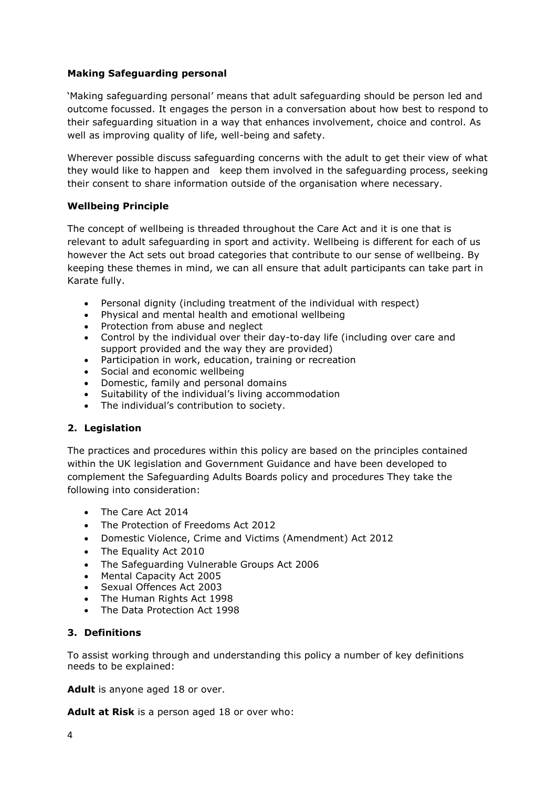### **Making Safeguarding personal**

'Making safeguarding personal' means that adult safeguarding should be person led and outcome focussed. It engages the person in a conversation about how best to respond to their safeguarding situation in a way that enhances involvement, choice and control. As well as improving quality of life, well-being and safety.

Wherever possible discuss safeguarding concerns with the adult to get their view of what they would like to happen and keep them involved in the safeguarding process, seeking their consent to share information outside of the organisation where necessary.

### **Wellbeing Principle**

The concept of wellbeing is threaded throughout the Care Act and it is one that is relevant to adult safeguarding in sport and activity. Wellbeing is different for each of us however the Act sets out broad categories that contribute to our sense of wellbeing. By keeping these themes in mind, we can all ensure that adult participants can take part in Karate fully.

- Personal dignity (including treatment of the individual with respect)
- Physical and mental health and emotional wellbeing
- Protection from abuse and neglect
- Control by the individual over their day-to-day life (including over care and support provided and the way they are provided)
- Participation in work, education, training or recreation
- Social and economic wellbeing
- Domestic, family and personal domains
- Suitability of the individual's living accommodation
- The individual's contribution to society.

### **2. Legislation**

The practices and procedures within this policy are based on the principles contained within the UK legislation and Government Guidance and have been developed to complement the Safeguarding Adults Boards policy and procedures They take the following into consideration:

- The Care Act 2014
- The Protection of Freedoms Act 2012
- Domestic Violence, Crime and Victims (Amendment) Act 2012
- The Equality Act 2010
- The Safeguarding Vulnerable Groups Act 2006
- Mental Capacity Act 2005
- Sexual Offences Act 2003
- The Human Rights Act 1998
- The Data Protection Act 1998

### **3. Definitions**

To assist working through and understanding this policy a number of key definitions needs to be explained:

Adult is anyone aged 18 or over.

**Adult at Risk** is a person aged 18 or over who: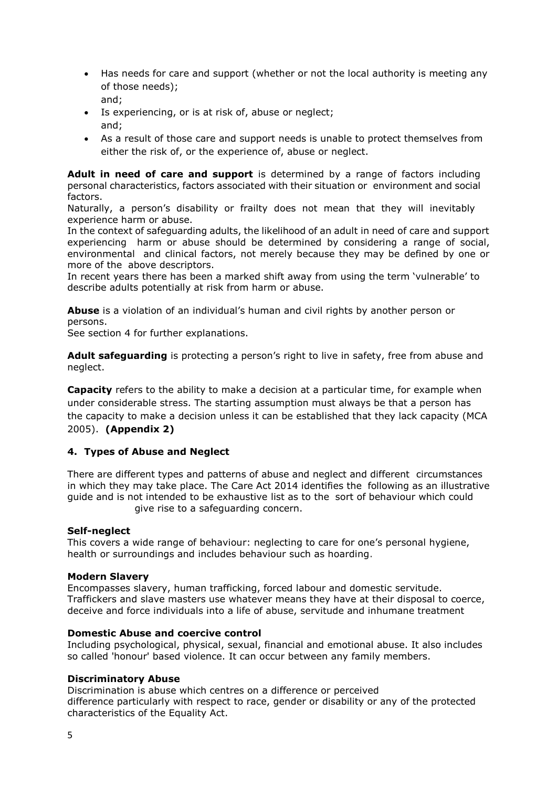- Has needs for care and support (whether or not the local authority is meeting any of those needs); and;
- Is experiencing, or is at risk of, abuse or neglect; and;
- As a result of those care and support needs is unable to protect themselves from either the risk of, or the experience of, abuse or neglect.

**Adult in need of care and support** is determined by a range of factors including personal characteristics, factors associated with their situation or environment and social factors.

Naturally, a person's disability or frailty does not mean that they will inevitably experience harm or abuse.

In the context of safeguarding adults, the likelihood of an adult in need of care and support experiencing harm or abuse should be determined by considering a range of social, environmental and clinical factors, not merely because they may be defined by one or more of the above descriptors.

In recent years there has been a marked shift away from using the term 'vulnerable' to describe adults potentially at risk from harm or abuse.

**Abuse** is a violation of an individual's human and civil rights by another person or persons.

See section 4 for further explanations.

**Adult safeguarding** is protecting a person's right to live in safety, free from abuse and neglect.

**Capacity** refers to the ability to make a decision at a particular time, for example when under considerable stress. The starting assumption must always be that a person has the capacity to make a decision unless it can be established that they lack capacity (MCA 2005). **(Appendix 2)**

### **4. Types of Abuse and Neglect**

There are different types and patterns of abuse and neglect and different circumstances in which they may take place. The Care Act 2014 identifies the following as an illustrative guide and is not intended to be exhaustive list as to the sort of behaviour which could give rise to a safeguarding concern.

#### **Self-neglect**

This covers a wide range of behaviour: neglecting to care for one's personal hygiene, health or surroundings and includes behaviour such as hoarding.

#### **Modern Slavery**

Encompasses slavery, human trafficking, forced labour and domestic servitude. Traffickers and slave masters use whatever means they have at their disposal to coerce, deceive and force individuals into a life of abuse, servitude and inhumane treatment

#### **Domestic Abuse and coercive control**

Including psychological, physical, sexual, financial and emotional abuse. It also includes so called 'honour' based violence. It can occur between any family members.

#### **Discriminatory Abuse**

Discrimination is abuse which centres on a difference or perceived difference particularly with respect to race, gender or disability or any of the protected characteristics of the Equality Act.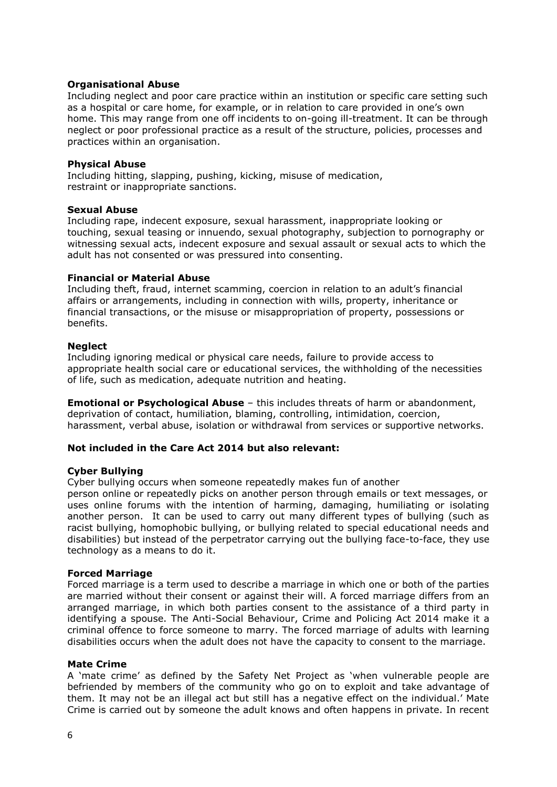#### **Organisational Abuse**

Including neglect and poor care practice within an institution or specific care setting such as a hospital or care home, for example, or in relation to care provided in one's own home. This may range from one off incidents to on-going ill-treatment. It can be through neglect or poor professional practice as a result of the structure, policies, processes and practices within an organisation.

#### **Physical Abuse**

Including hitting, slapping, pushing, kicking, misuse of medication, restraint or inappropriate sanctions.

#### **Sexual Abuse**

Including rape, indecent exposure, sexual harassment, inappropriate looking or touching, sexual teasing or innuendo, sexual photography, subjection to pornography or witnessing sexual acts, indecent exposure and sexual assault or sexual acts to which the adult has not consented or was pressured into consenting.

### **Financial or Material Abuse**

Including theft, fraud, internet scamming, coercion in relation to an adult's financial affairs or arrangements, including in connection with wills, property, inheritance or financial transactions, or the misuse or misappropriation of property, possessions or benefits.

### **Neglect**

Including ignoring medical or physical care needs, failure to provide access to appropriate health social care or educational services, the withholding of the necessities of life, such as medication, adequate nutrition and heating.

**Emotional or Psychological Abuse** – this includes threats of harm or abandonment, deprivation of contact, humiliation, blaming, controlling, intimidation, coercion, harassment, verbal abuse, isolation or withdrawal from services or supportive networks.

### **Not included in the Care Act 2014 but also relevant:**

#### **Cyber Bullying**

Cyber bullying occurs when someone repeatedly makes fun of another

person online or repeatedly picks on another person through emails or text messages, or uses online forums with the intention of harming, damaging, humiliating or isolating another person. It can be used to carry out many different types of bullying (such as racist bullying, homophobic bullying, or bullying related to special educational needs and disabilities) but instead of the perpetrator carrying out the bullying face-to-face, they use technology as a means to do it.

#### **Forced Marriage**

Forced marriage is a term used to describe a marriage in which one or both of the parties are married without their consent or against their will. A forced marriage differs from an arranged marriage, in which both parties consent to the assistance of a third party in identifying a spouse. The Anti-Social Behaviour, Crime and Policing Act 2014 make it a criminal offence to force someone to marry. The forced marriage of adults with learning disabilities occurs when the adult does not have the capacity to consent to the marriage.

#### **Mate Crime**

A 'mate crime' as defined by the Safety Net Project as 'when vulnerable people are befriended by members of the community who go on to exploit and take advantage of them. It may not be an illegal act but still has a negative effect on the individual.' Mate Crime is carried out by someone the adult knows and often happens in private. In recent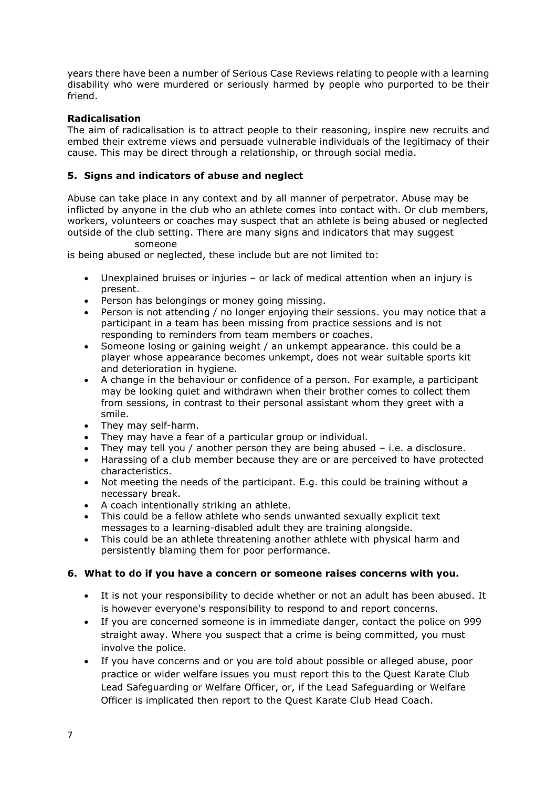years there have been a number of Serious Case Reviews relating to people with a learning disability who were murdered or seriously harmed by people who purported to be their friend.

# **Radicalisation**

The aim of radicalisation is to attract people to their reasoning, inspire new recruits and embed their extreme views and persuade vulnerable individuals of the legitimacy of their cause. This may be direct through a relationship, or through social media.

# **5. Signs and indicators of abuse and neglect**

Abuse can take place in any context and by all manner of perpetrator. Abuse may be inflicted by anyone in the club who an athlete comes into contact with. Or club members, workers, volunteers or coaches may suspect that an athlete is being abused or neglected outside of the club setting. There are many signs and indicators that may suggest someone

is being abused or neglected, these include but are not limited to:

- Unexplained bruises or injuries or lack of medical attention when an injury is present.
- Person has belongings or money going missing.
- Person is not attending / no longer enjoying their sessions. you may notice that a participant in a team has been missing from practice sessions and is not responding to reminders from team members or coaches.
- Someone losing or gaining weight / an unkempt appearance. this could be a player whose appearance becomes unkempt, does not wear suitable sports kit and deterioration in hygiene.
- A change in the behaviour or confidence of a person. For example, a participant may be looking quiet and withdrawn when their brother comes to collect them from sessions, in contrast to their personal assistant whom they greet with a smile.
- They may self-harm.
- They may have a fear of a particular group or individual.
- They may tell you / another person they are being abused i.e. a disclosure.
- Harassing of a club member because they are or are perceived to have protected characteristics.
- Not meeting the needs of the participant. E.g. this could be training without a necessary break.
- A coach intentionally striking an athlete.
- This could be a fellow athlete who sends unwanted sexually explicit text messages to a learning-disabled adult they are training alongside.
- This could be an athlete threatening another athlete with physical harm and persistently blaming them for poor performance.

### **6. What to do if you have a concern or someone raises concerns with you.**

- It is not your responsibility to decide whether or not an adult has been abused. It is however everyone's responsibility to respond to and report concerns.
- If you are concerned someone is in immediate danger, contact the police on 999 straight away. Where you suspect that a crime is being committed, you must involve the police.
- If you have concerns and or you are told about possible or alleged abuse, poor practice or wider welfare issues you must report this to the Quest Karate Club Lead Safeguarding or Welfare Officer, or, if the Lead Safeguarding or Welfare Officer is implicated then report to the Quest Karate Club Head Coach.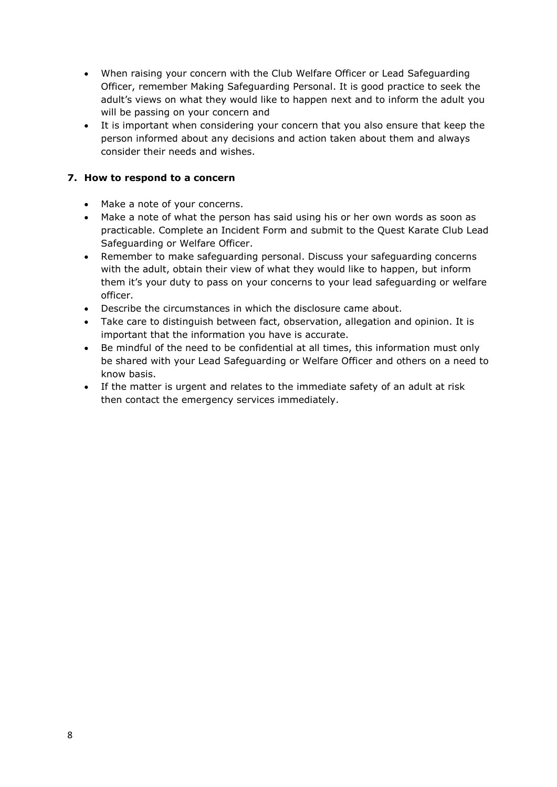- When raising your concern with the Club Welfare Officer or Lead Safeguarding Officer, remember Making Safeguarding Personal. It is good practice to seek the adult's views on what they would like to happen next and to inform the adult you will be passing on your concern and
- It is important when considering your concern that you also ensure that keep the person informed about any decisions and action taken about them and always consider their needs and wishes.

# **7. How to respond to a concern**

- Make a note of your concerns.
- Make a note of what the person has said using his or her own words as soon as practicable. Complete an Incident Form and submit to the Quest Karate Club Lead Safeguarding or Welfare Officer.
- Remember to make safeguarding personal. Discuss your safeguarding concerns with the adult, obtain their view of what they would like to happen, but inform them it's your duty to pass on your concerns to your lead safeguarding or welfare officer.
- Describe the circumstances in which the disclosure came about.
- Take care to distinguish between fact, observation, allegation and opinion. It is important that the information you have is accurate.
- Be mindful of the need to be confidential at all times, this information must only be shared with your Lead Safeguarding or Welfare Officer and others on a need to know basis.
- If the matter is urgent and relates to the immediate safety of an adult at risk then contact the emergency services immediately.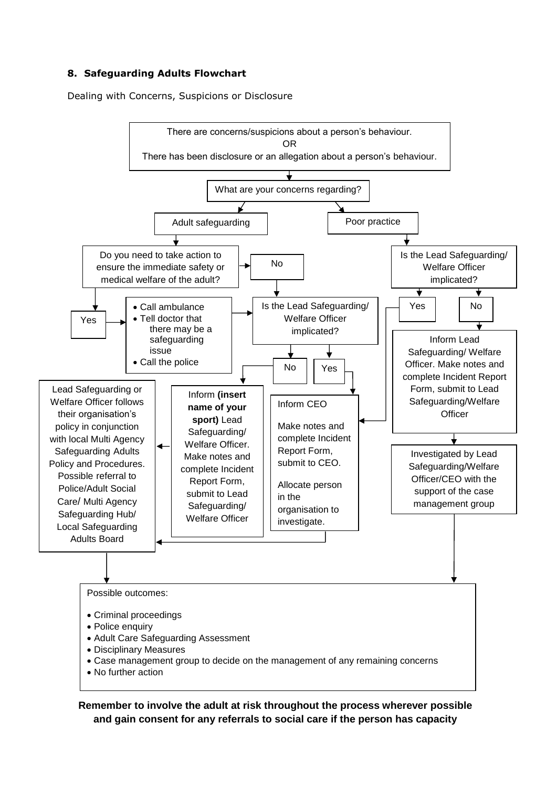# **8. Safeguarding Adults Flowchart**

Dealing with Concerns, Suspicions or Disclosure



**Remember to involve the adult at risk throughout the process wherever possible and gain consent for any referrals to social care if the person has capacity**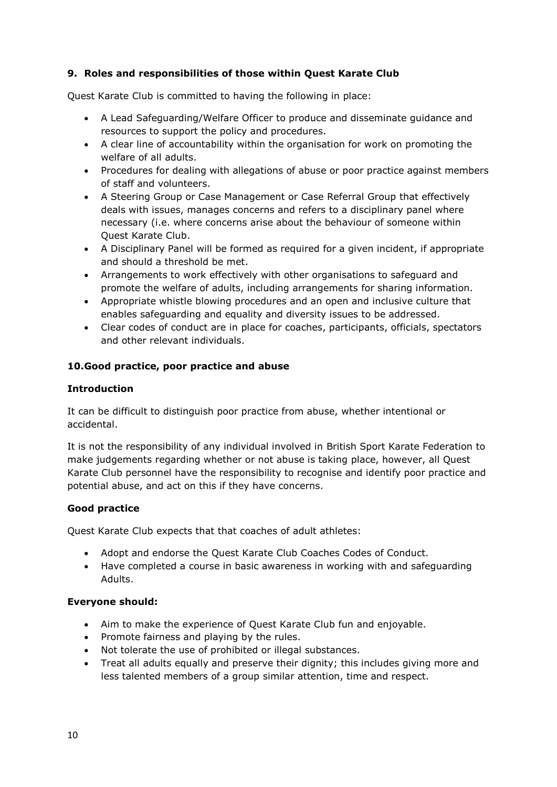# **9. Roles and responsibilities of those within Quest Karate Club**

Quest Karate Club is committed to having the following in place:

- A Lead Safeguarding/Welfare Officer to produce and disseminate guidance and resources to support the policy and procedures.
- A clear line of accountability within the organisation for work on promoting the welfare of all adults.
- Procedures for dealing with allegations of abuse or poor practice against members of staff and volunteers.
- A Steering Group or Case Management or Case Referral Group that effectively deals with issues, manages concerns and refers to a disciplinary panel where necessary (i.e. where concerns arise about the behaviour of someone within Quest Karate Club.
- A Disciplinary Panel will be formed as required for a given incident, if appropriate and should a threshold be met.
- Arrangements to work effectively with other organisations to safeguard and promote the welfare of adults, including arrangements for sharing information.
- Appropriate whistle blowing procedures and an open and inclusive culture that enables safeguarding and equality and diversity issues to be addressed.
- Clear codes of conduct are in place for coaches, participants, officials, spectators and other relevant individuals.

### **10.Good practice, poor practice and abuse**

### **Introduction**

It can be difficult to distinguish poor practice from abuse, whether intentional or accidental.

It is not the responsibility of any individual involved in British Sport Karate Federation to make judgements regarding whether or not abuse is taking place, however, all Quest Karate Club personnel have the responsibility to recognise and identify poor practice and potential abuse, and act on this if they have concerns.

### **Good practice**

Quest Karate Club expects that that coaches of adult athletes:

- Adopt and endorse the Quest Karate Club Coaches Codes of Conduct.
- Have completed a course in basic awareness in working with and safeguarding Adults.

### **Everyone should:**

- Aim to make the experience of Quest Karate Club fun and enjoyable.
- Promote fairness and playing by the rules.
- Not tolerate the use of prohibited or illegal substances.
- Treat all adults equally and preserve their dignity; this includes giving more and less talented members of a group similar attention, time and respect.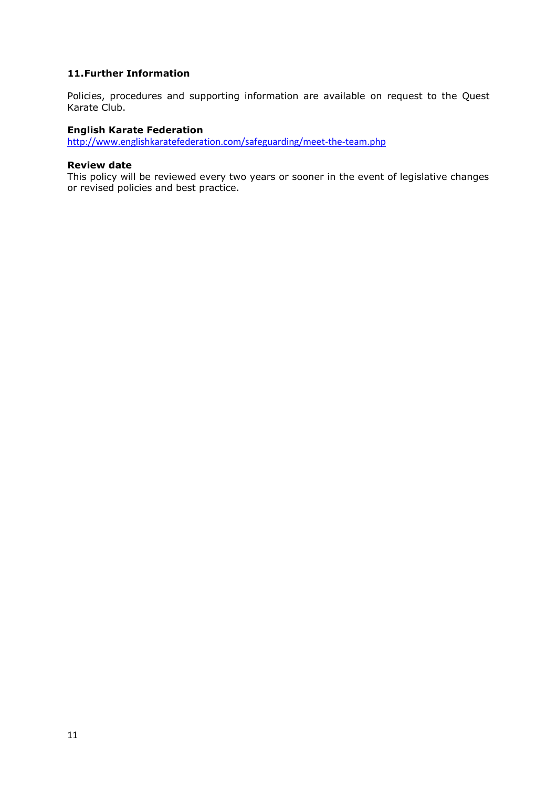### **11.Further Information**

Policies, procedures and supporting information are available on request to the Quest Karate Club.

#### **English Karate Federation**

<http://www.englishkaratefederation.com/safeguarding/meet-the-team.php>

#### **Review date**

This policy will be reviewed every two years or sooner in the event of legislative changes or revised policies and best practice.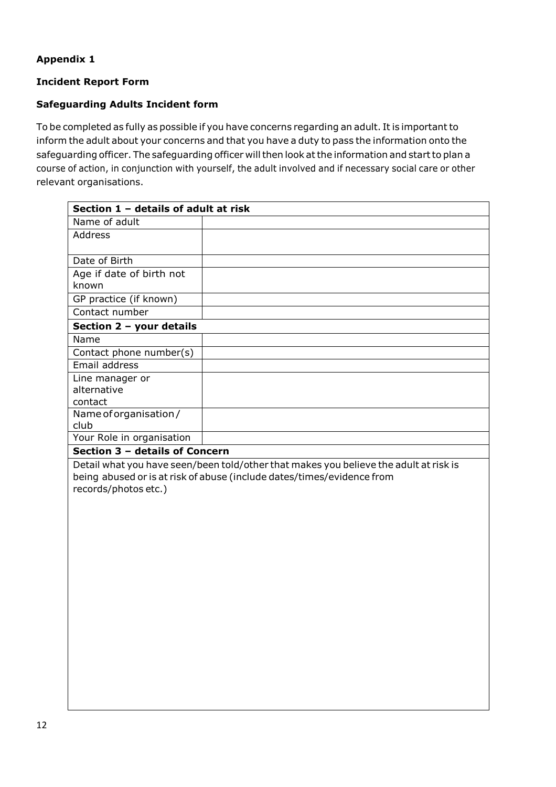# **Appendix 1**

# **Incident Report Form**

# **Safeguarding Adults Incident form**

To be completed as fully as possible if you have concerns regarding an adult. It is important to inform the adult about your concerns and that you have a duty to pass the information onto the safeguarding officer. The safeguarding officer will then look at the information and start to plan a course of action, in conjunction with yourself, the adult involved and if necessary social care or other relevant organisations.

| Section 1 - details of adult at risk |  |  |
|--------------------------------------|--|--|
| Name of adult                        |  |  |
| Address                              |  |  |
|                                      |  |  |
| Date of Birth                        |  |  |
| Age if date of birth not             |  |  |
| known                                |  |  |
| GP practice (if known)               |  |  |
| Contact number                       |  |  |
| Section 2 - your details             |  |  |
| Name                                 |  |  |
| Contact phone number(s)              |  |  |
| Email address                        |  |  |
| Line manager or                      |  |  |
| alternative                          |  |  |
| contact                              |  |  |
| Name of organisation /               |  |  |
| club                                 |  |  |
| Your Role in organisation            |  |  |
| Section 3 - details of Concern       |  |  |

Detail what you have seen/been told/other that makes you believe the adult at risk is being abused or is at risk of abuse (include dates/times/evidence from records/photos etc.)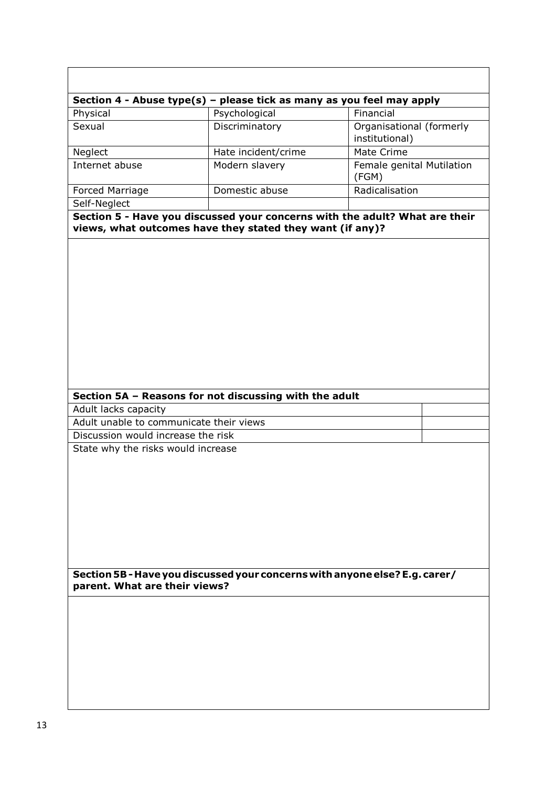|                                         | Section 4 - Abuse type(s) – please tick as many as you feel may apply                                                                    |                                            |
|-----------------------------------------|------------------------------------------------------------------------------------------------------------------------------------------|--------------------------------------------|
| Physical                                | Psychological                                                                                                                            | Financial                                  |
| Sexual                                  | Discriminatory                                                                                                                           | Organisational (formerly<br>institutional) |
| Neglect                                 | Hate incident/crime                                                                                                                      | Mate Crime                                 |
| Internet abuse                          | Modern slavery                                                                                                                           | Female genital Mutilation<br>(FGM)         |
| Forced Marriage                         | Domestic abuse                                                                                                                           | Radicalisation                             |
| Self-Neglect                            |                                                                                                                                          |                                            |
|                                         | Section 5 - Have you discussed your concerns with the adult? What are their<br>views, what outcomes have they stated they want (if any)? |                                            |
|                                         | Section 5A - Reasons for not discussing with the adult                                                                                   |                                            |
| Adult lacks capacity                    |                                                                                                                                          |                                            |
| Adult unable to communicate their views |                                                                                                                                          |                                            |
| Discussion would increase the risk      |                                                                                                                                          |                                            |
| State why the risks would increase      |                                                                                                                                          |                                            |
| parent. What are their views?           | Section 5B - Have you discussed your concerns with anyone else? E.g. carer/                                                              |                                            |
|                                         |                                                                                                                                          |                                            |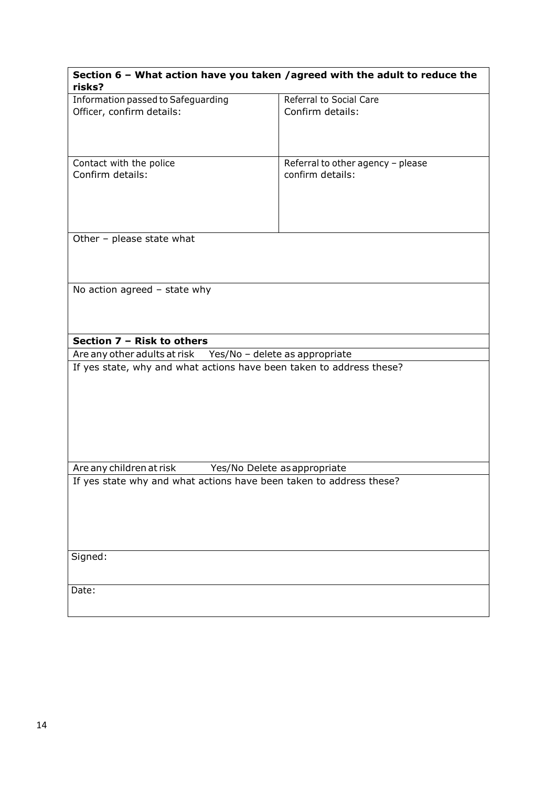| Information passed to Safeguarding<br>Referral to Social Care<br>Officer, confirm details:<br>Confirm details:<br>Contact with the police<br>Referral to other agency - please<br>Confirm details:<br>confirm details: |
|------------------------------------------------------------------------------------------------------------------------------------------------------------------------------------------------------------------------|
|                                                                                                                                                                                                                        |
|                                                                                                                                                                                                                        |
|                                                                                                                                                                                                                        |
|                                                                                                                                                                                                                        |
|                                                                                                                                                                                                                        |
|                                                                                                                                                                                                                        |
|                                                                                                                                                                                                                        |
|                                                                                                                                                                                                                        |
|                                                                                                                                                                                                                        |
|                                                                                                                                                                                                                        |
|                                                                                                                                                                                                                        |
|                                                                                                                                                                                                                        |
|                                                                                                                                                                                                                        |
|                                                                                                                                                                                                                        |
| Other - please state what                                                                                                                                                                                              |
|                                                                                                                                                                                                                        |
|                                                                                                                                                                                                                        |
|                                                                                                                                                                                                                        |
| No action agreed $-$ state why                                                                                                                                                                                         |
|                                                                                                                                                                                                                        |
|                                                                                                                                                                                                                        |
|                                                                                                                                                                                                                        |
|                                                                                                                                                                                                                        |
| Section 7 - Risk to others                                                                                                                                                                                             |
| Are any other adults at risk Yes/No - delete as appropriate                                                                                                                                                            |
| If yes state, why and what actions have been taken to address these?                                                                                                                                                   |
|                                                                                                                                                                                                                        |
|                                                                                                                                                                                                                        |
|                                                                                                                                                                                                                        |
|                                                                                                                                                                                                                        |
|                                                                                                                                                                                                                        |
|                                                                                                                                                                                                                        |
|                                                                                                                                                                                                                        |
|                                                                                                                                                                                                                        |
|                                                                                                                                                                                                                        |
| Are any children at risk<br>Yes/No Delete as appropriate                                                                                                                                                               |
| If yes state why and what actions have been taken to address these?                                                                                                                                                    |
|                                                                                                                                                                                                                        |
|                                                                                                                                                                                                                        |
|                                                                                                                                                                                                                        |
|                                                                                                                                                                                                                        |
|                                                                                                                                                                                                                        |
|                                                                                                                                                                                                                        |
| Signed:                                                                                                                                                                                                                |
|                                                                                                                                                                                                                        |
|                                                                                                                                                                                                                        |
|                                                                                                                                                                                                                        |
| Date:                                                                                                                                                                                                                  |
|                                                                                                                                                                                                                        |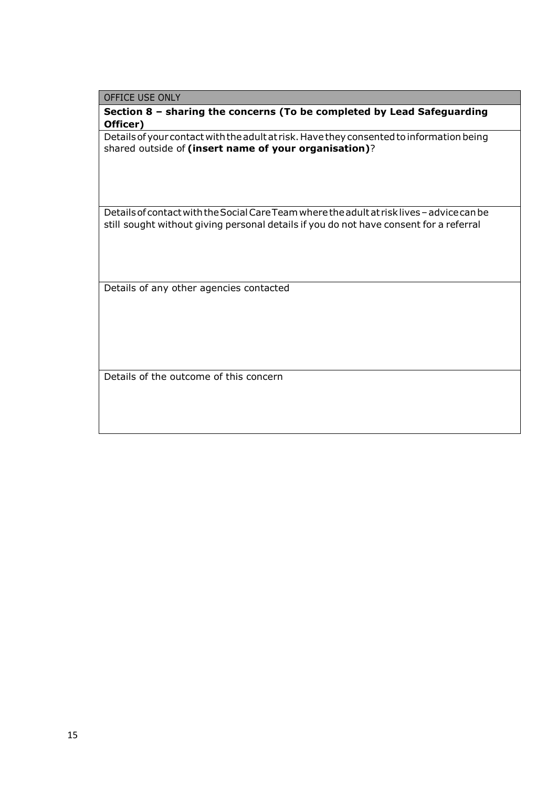OFFICE USE ONLY

**Section 8 – sharing the concerns (To be completed by Lead Safeguarding Officer)**

Details of your contact with the adult at risk. Have they consented to information being shared outside of **(insert name of your organisation)**?

DetailsofcontactwiththeSocialCareTeamwheretheadultat risklives–advicecanbe still sought without giving personal details if you do not have consent for a referral

Details of any other agencies contacted

Details of the outcome of this concern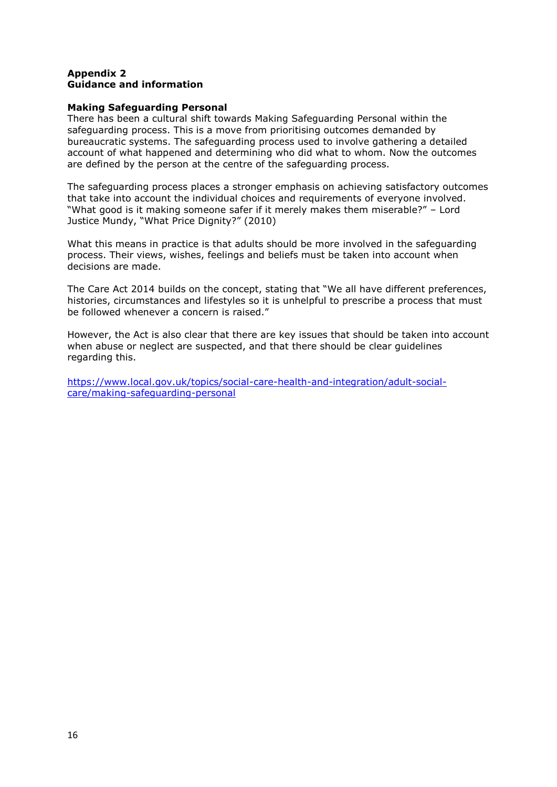#### **Appendix 2 Guidance and information**

#### **Making Safeguarding Personal**

There has been a cultural shift towards Making Safeguarding Personal within the safeguarding process. This is a move from prioritising outcomes demanded by bureaucratic systems. The safeguarding process used to involve gathering a detailed account of what happened and determining who did what to whom. Now the outcomes are defined by the person at the centre of the safeguarding process.

The safeguarding process places a stronger emphasis on achieving satisfactory outcomes that take into account the individual choices and requirements of everyone involved. "What good is it making someone safer if it merely makes them miserable?" – Lord Justice Mundy, "What Price Dignity?" (2010)

What this means in practice is that adults should be more involved in the safeguarding process. Their views, wishes, feelings and beliefs must be taken into account when decisions are made.

The Care Act 2014 builds on the concept, stating that "We all have different preferences, histories, circumstances and lifestyles so it is unhelpful to prescribe a process that must be followed whenever a concern is raised."

However, the Act is also clear that there are key issues that should be taken into account when abuse or neglect are suspected, and that there should be clear guidelines regarding this.

[https://www.local.gov.uk/topics/social-care-health-and-integration/adult-social](https://www.local.gov.uk/topics/social-care-health-and-integration/adult-social-care/making-safeguarding-personal)[care/making-safeguarding-personal](https://www.local.gov.uk/topics/social-care-health-and-integration/adult-social-care/making-safeguarding-personal)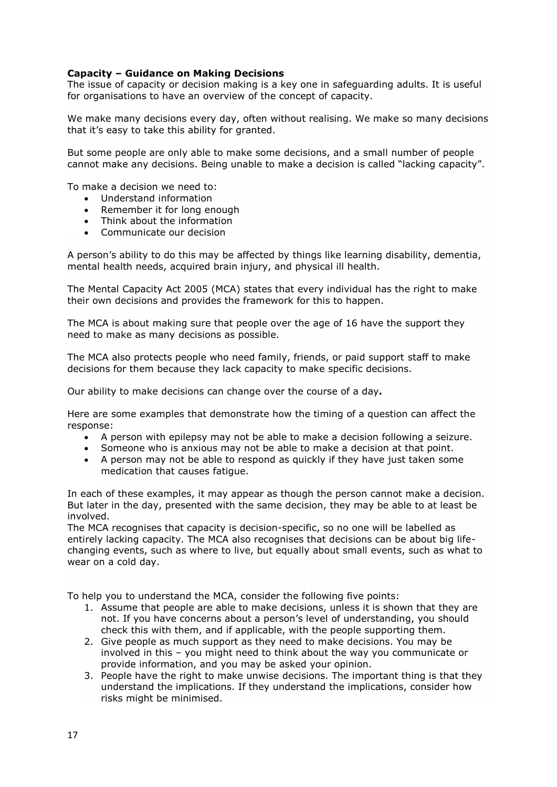### **Capacity – Guidance on Making Decisions**

The issue of capacity or decision making is a key one in safeguarding adults. It is useful for organisations to have an overview of the concept of capacity.

We make many decisions every day, often without realising. We make so many decisions that it's easy to take this ability for granted.

But some people are only able to make some decisions, and a small number of people cannot make any decisions. Being unable to make a decision is called "lacking capacity".

To make a decision we need to:

- Understand information
- Remember it for long enough
- Think about the information
- Communicate our decision

A person's ability to do this may be affected by things like learning disability, dementia, mental health needs, acquired brain injury, and physical ill health.

The Mental Capacity Act 2005 (MCA) states that every individual has the right to make their own decisions and provides the framework for this to happen.

The MCA is about making sure that people over the age of 16 have the support they need to make as many decisions as possible.

The MCA also protects people who need family, friends, or paid support staff to make decisions for them because they lack capacity to make specific decisions.

Our ability to make decisions can change over the course of a day**.**

Here are some examples that demonstrate how the timing of a question can affect the response:

- A person with epilepsy may not be able to make a decision following a seizure.
- Someone who is anxious may not be able to make a decision at that point.
- A person may not be able to respond as quickly if they have just taken some medication that causes fatigue.

In each of these examples, it may appear as though the person cannot make a decision. But later in the day, presented with the same decision, they may be able to at least be involved.

The MCA recognises that capacity is decision-specific, so no one will be labelled as entirely lacking capacity. The MCA also recognises that decisions can be about big lifechanging events, such as where to live, but equally about small events, such as what to wear on a cold day.

To help you to understand the MCA, consider the following five points:

- 1. Assume that people are able to make decisions, unless it is shown that they are not. If you have concerns about a person's level of understanding, you should check this with them, and if applicable, with the people supporting them.
- 2. Give people as much support as they need to make decisions. You may be involved in this – you might need to think about the way you communicate or provide information, and you may be asked your opinion.
- 3. People have the right to make unwise decisions. The important thing is that they understand the implications. If they understand the implications, consider how risks might be minimised.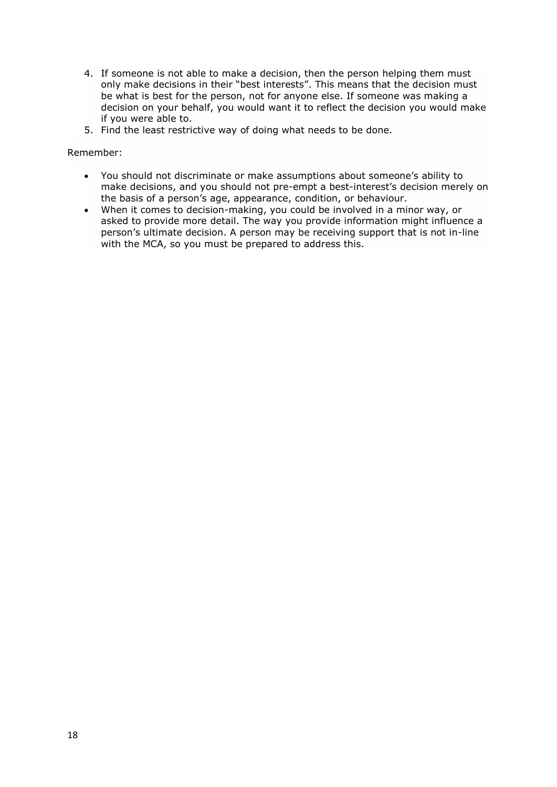- 4. If someone is not able to make a decision, then the person helping them must only make decisions in their "best interests". This means that the decision must be what is best for the person, not for anyone else. If someone was making a decision on your behalf, you would want it to reflect the decision you would make if you were able to.
- 5. Find the least restrictive way of doing what needs to be done.

#### Remember:

- You should not discriminate or make assumptions about someone's ability to make decisions, and you should not pre-empt a best-interest's decision merely on the basis of a person's age, appearance, condition, or behaviour.
- When it comes to decision-making, you could be involved in a minor way, or asked to provide more detail. The way you provide information might influence a person's ultimate decision. A person may be receiving support that is not in-line with the MCA, so you must be prepared to address this.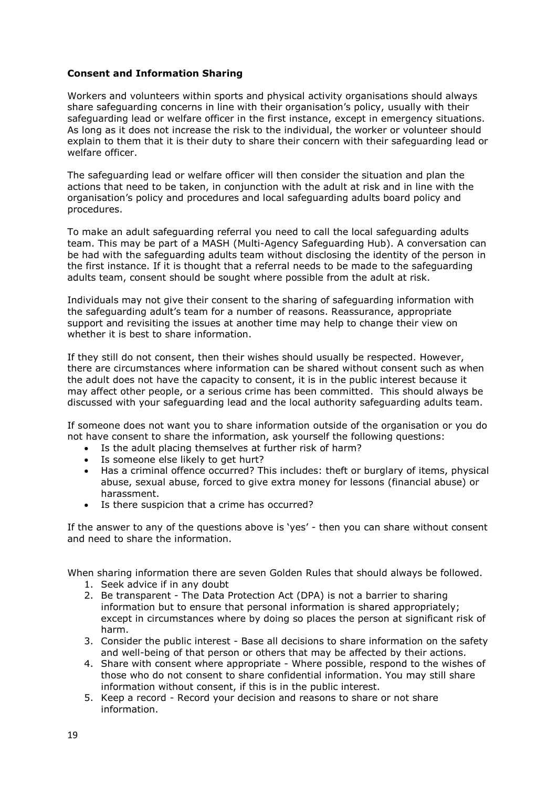### **Consent and Information Sharing**

Workers and volunteers within sports and physical activity organisations should always share safeguarding concerns in line with their organisation's policy, usually with their safeguarding lead or welfare officer in the first instance, except in emergency situations. As long as it does not increase the risk to the individual, the worker or volunteer should explain to them that it is their duty to share their concern with their safeguarding lead or welfare officer.

The safeguarding lead or welfare officer will then consider the situation and plan the actions that need to be taken, in conjunction with the adult at risk and in line with the organisation's policy and procedures and local safeguarding adults board policy and procedures.

To make an adult safeguarding referral you need to call the local safeguarding adults team. This may be part of a MASH (Multi-Agency Safeguarding Hub). A conversation can be had with the safeguarding adults team without disclosing the identity of the person in the first instance. If it is thought that a referral needs to be made to the safeguarding adults team, consent should be sought where possible from the adult at risk.

Individuals may not give their consent to the sharing of safeguarding information with the safeguarding adult's team for a number of reasons. Reassurance, appropriate support and revisiting the issues at another time may help to change their view on whether it is best to share information.

If they still do not consent, then their wishes should usually be respected. However, there are circumstances where information can be shared without consent such as when the adult does not have the capacity to consent, it is in the public interest because it may affect other people, or a serious crime has been committed. This should always be discussed with your safeguarding lead and the local authority safeguarding adults team.

If someone does not want you to share information outside of the organisation or you do not have consent to share the information, ask yourself the following questions:

- Is the adult placing themselves at further risk of harm?
- Is someone else likely to get hurt?
- Has a criminal offence occurred? This includes: theft or burglary of items, physical abuse, sexual abuse, forced to give extra money for lessons (financial abuse) or harassment.
- Is there suspicion that a crime has occurred?

If the answer to any of the questions above is 'yes' - then you can share without consent and need to share the information.

When sharing information there are seven Golden Rules that should always be followed.

- 1. Seek advice if in any doubt
- 2. Be transparent The Data Protection Act (DPA) is not a barrier to sharing information but to ensure that personal information is shared appropriately; except in circumstances where by doing so places the person at significant risk of harm.
- 3. Consider the public interest Base all decisions to share information on the safety and well-being of that person or others that may be affected by their actions.
- 4. Share with consent where appropriate Where possible, respond to the wishes of those who do not consent to share confidential information. You may still share information without consent, if this is in the public interest.
- 5. Keep a record Record your decision and reasons to share or not share information.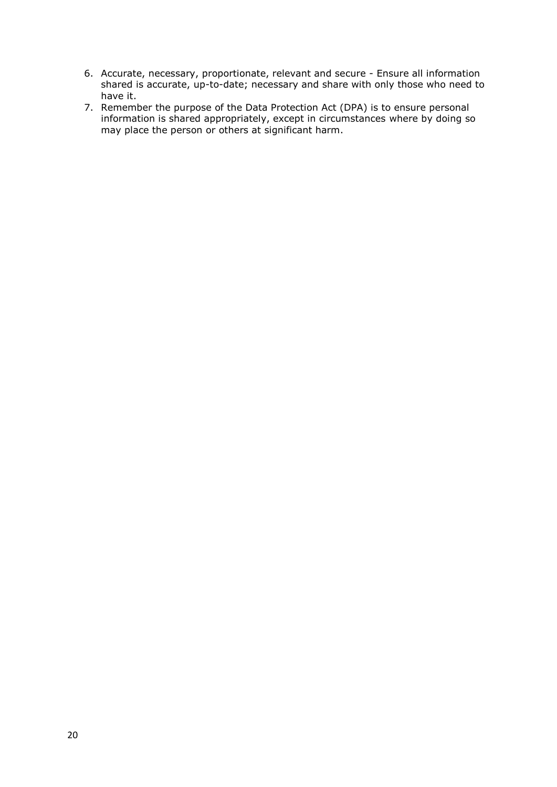- 6. Accurate, necessary, proportionate, relevant and secure Ensure all information shared is accurate, up-to-date; necessary and share with only those who need to have it.
- 7. Remember the purpose of the Data Protection Act (DPA) is to ensure personal information is shared appropriately, except in circumstances where by doing so may place the person or others at significant harm.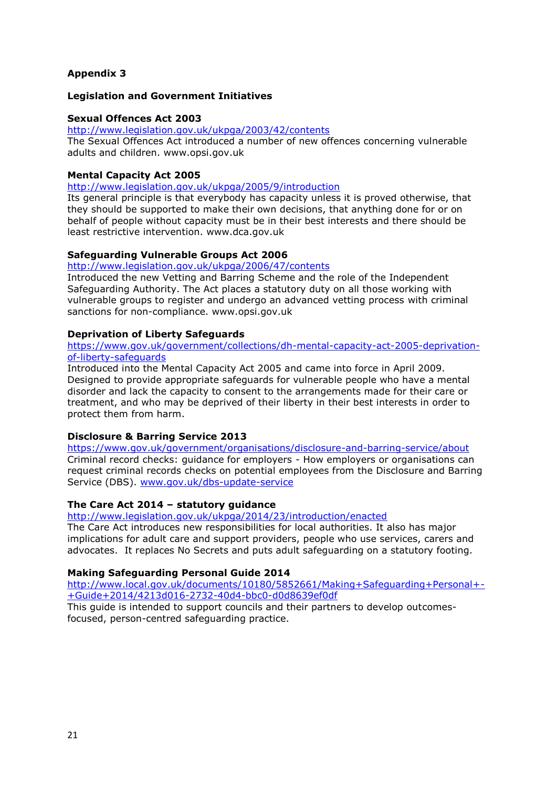# **Appendix 3**

### **Legislation and Government Initiatives**

#### **Sexual Offences Act 2003**

<http://www.legislation.gov.uk/ukpga/2003/42/contents>

The Sexual Offences Act introduced a number of new offences concerning vulnerable adults and children. www.opsi.gov.uk

### **Mental Capacity Act 2005**

<http://www.legislation.gov.uk/ukpga/2005/9/introduction>

Its general principle is that everybody has capacity unless it is proved otherwise, that they should be supported to make their own decisions, that anything done for or on behalf of people without capacity must be in their best interests and there should be least restrictive intervention. www.dca.gov.uk

### **Safeguarding Vulnerable Groups Act 2006**

#### <http://www.legislation.gov.uk/ukpga/2006/47/contents>

Introduced the new Vetting and Barring Scheme and the role of the Independent Safeguarding Authority. The Act places a statutory duty on all those working with vulnerable groups to register and undergo an advanced vetting process with criminal sanctions for non-compliance. www.opsi.gov.uk

### **Deprivation of Liberty Safeguards**

#### [https://www.gov.uk/government/collections/dh-mental-capacity-act-2005-deprivation](https://www.gov.uk/government/collections/dh-mental-capacity-act-2005-deprivation-of-liberty-safeguards)[of-liberty-safeguards](https://www.gov.uk/government/collections/dh-mental-capacity-act-2005-deprivation-of-liberty-safeguards)

Introduced into the Mental Capacity Act 2005 and came into force in April 2009. Designed to provide appropriate safeguards for vulnerable people who have a mental disorder and lack the capacity to consent to the arrangements made for their care or treatment, and who may be deprived of their liberty in their best interests in order to protect them from harm.

### **Disclosure & Barring Service 2013**

<https://www.gov.uk/government/organisations/disclosure-and-barring-service/about> Criminal record checks: guidance for employers - How employers or organisations can request criminal records checks on potential employees from the Disclosure and Barring Service (DBS). [www.gov.uk/dbs-update-service](http://www.gov.uk/dbs-update-service)

### **The Care Act 2014 – statutory guidance**

<http://www.legislation.gov.uk/ukpga/2014/23/introduction/enacted>

The Care Act introduces new responsibilities for local authorities. It also has major implications for adult care and support providers, people who use services, carers and advocates. It replaces No Secrets and puts adult safeguarding on a statutory footing.

#### **Making Safeguarding Personal Guide 2014**

[http://www.local.gov.uk/documents/10180/5852661/Making+Safeguarding+Personal+-](http://www.local.gov.uk/documents/10180/5852661/Making+Safeguarding+Personal+-+Guide+2014/4213d016-2732-40d4-bbc0-d0d8639ef0df) [+Guide+2014/4213d016-2732-40d4-bbc0-d0d8639ef0df](http://www.local.gov.uk/documents/10180/5852661/Making+Safeguarding+Personal+-+Guide+2014/4213d016-2732-40d4-bbc0-d0d8639ef0df)

This guide is intended to support councils and their partners to develop outcomesfocused, person-centred safeguarding practice.